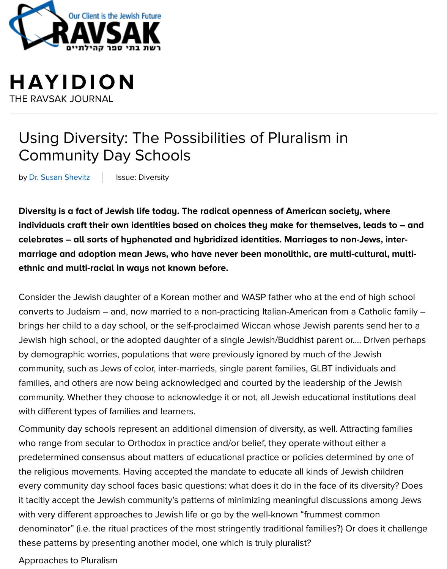## **[HAYIDION](http://ravsak.org/)** THE RAVSAK JOURNAL

# Using Diversity: The Possibilities of Pluralism in Community Day Schools

by Dr. Susan Shevitz | Issue: Diversity

**Diversity is a fact of Jewish life today. The radical openness of American society, where** individuals craft their own identities based on choices they make for themselves, lead **celebrates – all sorts of hyphenated and hybridized identities. Marriages to non-Jews, inter**marriage and adoption mea[n Jews,](http://ravsak.org/diversity) who have never been monolithic, are multi-cultur **ethnic and multi-racial in ways not known before.**

Consider the Jewish daughter of a Korean mother and WASP father who at the end of high converts to Judaism – and, now married to a non-practicing Italian-American from a Catho brings her child to a day school, or the self-proclaimed Wiccan whose Jewish parents sen Jewish high school, or the adopted daughter of a single Jewish/Buddhist parent or.... Driv by demographic worries, populations that were previously ignored by much of the Jewish community, such as Jews of color, inter-marrieds, single parent families, GLBT individuals families, and others are now being acknowledged and courted by the leadership of the J community. Whether they choose to acknowledge it or not, all Jewish educational institut with different types of families and learners.

Community day schools represent an additional dimension of diversity, as well. Attracting who range from secular to Orthodox in practice and/or belief, they operate without either predetermined consensus about matters of educational practice or policies determined b the religious movements. Having accepted the mandate to educate all kinds of Jewish ch every community day school faces basic questions: what does it do in the face of its diver it tacitly accept the Jewish community's patterns of minimizing meaningful discussions an with very different approaches to Jewish life or go by the well-known "frummest common denominator" (i.e. the ritual practices of the most stringently traditional families?) Or does these patterns by presenting another model, one which is truly pluralist?

Approaches to Pluralism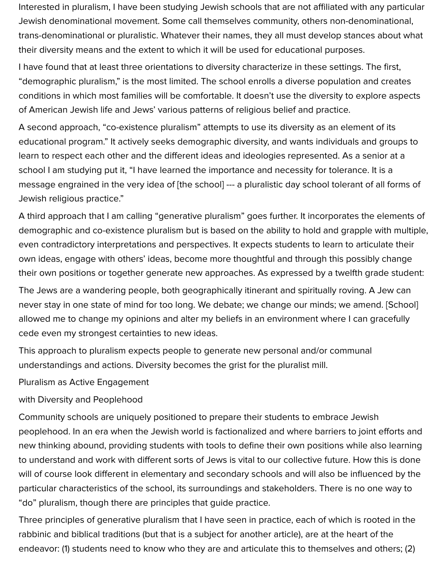Interested in pluralism, I have been studying Jewish schools that are not affiliated with any particular Jewish denominational movement. Some call themselves community, others non-denominational, trans-denominational or pluralistic. Whatever their names, they all must develop stances about what their diversity means and the extent to which it will be used for educational purposes.

I have found that at least three orientations to diversity characterize in these settings. The first, "demographic pluralism," is the most limited. The school enrolls a diverse population and creates conditions in which most families will be comfortable. It doesn't use the diversity to explore aspects of American Jewish life and Jews' various patterns of religious belief and practice.

A second approach, "co-existence pluralism" attempts to use its diversity as an element of its educational program." It actively seeks demographic diversity, and wants individuals and groups to learn to respect each other and the different ideas and ideologies represented. As a senior at a school I am studying put it, "I have learned the importance and necessity for tolerance. It is a message engrained in the very idea of [the school] --- a pluralistic day school tolerant of all forms of Jewish religious practice."

A third approach that I am calling "generative pluralism" goes further. It incorporates the elements of demographic and co-existence pluralism but is based on the ability to hold and grapple with multiple, even contradictory interpretations and perspectives. It expects students to learn to articulate their own ideas, engage with others' ideas, become more thoughtful and through this possibly change their own positions or together generate new approaches. As expressed by a twelfth grade student:

The Jews are a wandering people, both geographically itinerant and spiritually roving. A Jew can never stay in one state of mind for too long. We debate; we change our minds; we amend. [School] allowed me to change my opinions and alter my beliefs in an environment where I can gracefully cede even my strongest certainties to new ideas.

This approach to pluralism expects people to generate new personal and/or communal understandings and actions. Diversity becomes the grist for the pluralist mill.

Pluralism as Active Engagement

#### with Diversity and Peoplehood

Community schools are uniquely positioned to prepare their students to embrace Jewish peoplehood. In an era when the Jewish world is factionalized and where barriers to joint efforts and new thinking abound, providing students with tools to define their own positions while also learning to understand and work with different sorts of Jews is vital to our collective future. How this is done will of course look different in elementary and secondary schools and will also be influenced by the particular characteristics of the school, its surroundings and stakeholders. There is no one way to "do" pluralism, though there are principles that guide practice.

Three principles of generative pluralism that I have seen in practice, each of which is rooted in the rabbinic and biblical traditions (but that is a subject for another article), are at the heart of the endeavor: (1) students need to know who they are and articulate this to themselves and others; (2)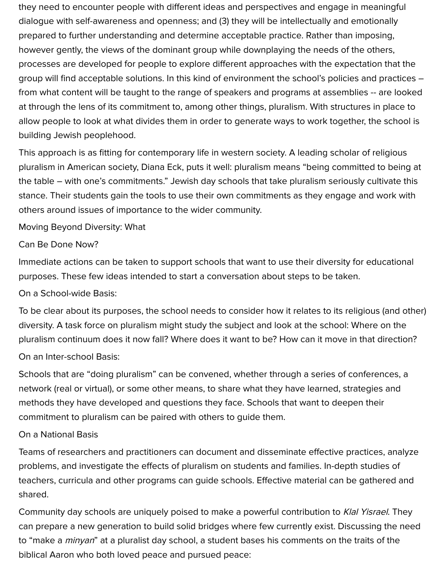they need to encounter people with different ideas and perspectives and engage in meaningful dialogue with self-awareness and openness; and (3) they will be intellectually and emotionally prepared to further understanding and determine acceptable practice. Rather than imposing, however gently, the views of the dominant group while downplaying the needs of the others, processes are developed for people to explore different approaches with the expectation that the group will find acceptable solutions. In this kind of environment the school's policies and practices – from what content will be taught to the range of speakers and programs at assemblies -- are looked at through the lens of its commitment to, among other things, pluralism. With structures in place to allow people to look at what divides them in order to generate ways to work together, the school is building Jewish peoplehood.

This approach is as fitting for contemporary life in western society. A leading scholar of religious pluralism in American society, Diana Eck, puts it well: pluralism means "being committed to being at the table – with one's commitments." Jewish day schools that take pluralism seriously cultivate this stance. Their students gain the tools to use their own commitments as they engage and work with others around issues of importance to the wider community.

#### Moving Beyond Diversity: What

#### Can Be Done Now?

Immediate actions can be taken to support schools that want to use their diversity for educational purposes. These few ideas intended to start a conversation about steps to be taken.

#### On a School-wide Basis:

To be clear about its purposes, the school needs to consider how it relates to its religious (and other) diversity. A task force on pluralism might study the subject and look at the school: Where on the pluralism continuum does it now fall? Where does it want to be? How can it move in that direction?

#### On an Inter-school Basis:

Schools that are "doing pluralism" can be convened, whether through a series of conferences, a network (real or virtual), or some other means, to share what they have learned, strategies and methods they have developed and questions they face. Schools that want to deepen their commitment to pluralism can be paired with others to guide them.

#### On a National Basis

Teams of researchers and practitioners can document and disseminate effective practices, analyze problems, and investigate the effects of pluralism on students and families. In-depth studies of teachers, curricula and other programs can guide schools. Effective material can be gathered and shared.

Community day schools are uniquely poised to make a powerful contribution to Klal Yisrael. They can prepare a new generation to build solid bridges where few currently exist. Discussing the need to "make a *minyan*" at a pluralist day school, a student bases his comments on the traits of the biblical Aaron who both loved peace and pursued peace: